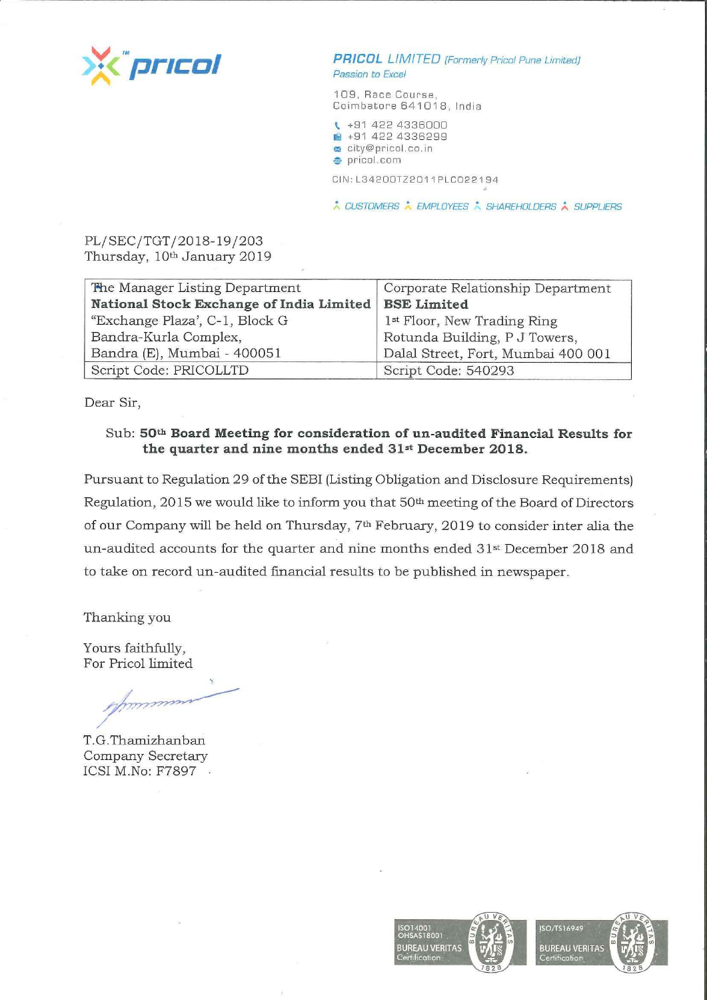

**PRICOL** LIMITED (Formerly Pricol Pune Limited) Passion to Excel

109, Race Course, Coimbatore 641018. India

\ +91 422 4336000 lliil +91 422 4336299

city@pricol.co.in

**,e.** pricol. com

CIN: L3420DTZ2011 PLCD22194

\* CUSTOMERS \* EMPLOYEES \* SHAREHOLDERS \* SUPPLIERS

PL/SEC/TGT/2018-19/203 Thursday, 10th January 2019

| The Manager Listing Department           | Corporate Relationship Department       |  |
|------------------------------------------|-----------------------------------------|--|
| National Stock Exchange of India Limited | <b>BSE Limited</b>                      |  |
| "Exchange Plaza", C-1, Block G           | 1 <sup>st</sup> Floor, New Trading Ring |  |
| Bandra-Kurla Complex,                    | Rotunda Building, P J Towers,           |  |
| Bandra (E), Mumbai - 400051              | Dalal Street, Fort, Mumbai 400 001      |  |
| Script Code: PRICOLLTD                   | Script Code: 540293                     |  |

Dear Sir,

## Sub: **50th Board Meeting for consideration of un-audited Financial Results for the quarter and nine months ended 31st December 2018.**

Pursuant to Regulation 29 of the SEBI (Listing Obligation and Disclosure Requirements) Regulation, 2015 we would like to inform you that 50th meeting of the Board of Directors of our Company will be held on Thursday, 7<sup>th</sup> February, 2019 to consider inter alia the un-audited accounts for the quarter and nine months ended 31st December 2018 and to take on record un-audited financial results to be published in newspaper.

Thanking you

Yours faithfully, For Pricol limited

T.G.Thamizhanban Company Secretary ICSI M.No: F7897 .